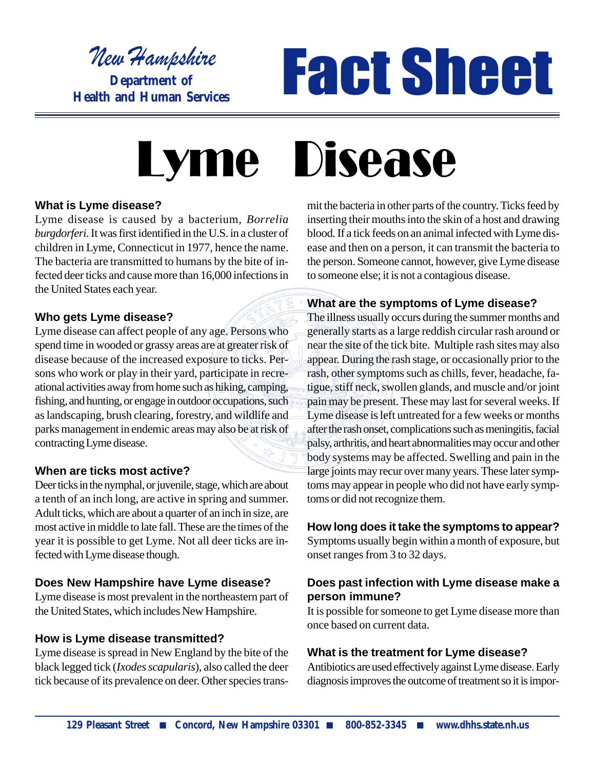w Hampshire

**Department of Health and Human Services**

# New Hampshire<br>Department of **FACCSICC**

# **Lyme** Disease

#### **What is Lyme disease?**

Lyme disease is caused by a bacterium, *Borrelia burgdorferi*. It was first identified in the U.S. in a cluster of children in Lyme, Connecticut in 1977, hence the name. The bacteria are transmitted to humans by the bite of infected deer ticks and cause more than 16,000 infections in the United States each year.

#### **Who gets Lyme disease?**

Lyme disease can affect people of any age. Persons who spend time in wooded or grassy areas are at greater risk of disease because of the increased exposure to ticks. Persons who work or play in their yard, participate in recreational activities away from home such as hiking, camping, fishing, and hunting, or engage in outdoor occupations, such as landscaping, brush clearing, forestry, and wildlife and parks management in endemic areas may also be at risk of contracting Lyme disease.

#### **When are ticks most active?**

Deer ticks in the nymphal, or juvenile, stage, which are about a tenth of an inch long, are active in spring and summer. Adult ticks, which are about a quarter of an inch in size, are most active in middle to late fall. These are the times of the year it is possible to get Lyme. Not all deer ticks are infected with Lyme disease though.

# **Does New Hampshire have Lyme disease?**

Lyme disease is most prevalent in the northeastern part of the United States, which includes New Hampshire.

# **How is Lyme disease transmitted?**

Lyme disease is spread in New England by the bite of the black legged tick (*Ixodes scapularis*), also called the deer tick because of its prevalence on deer. Other species transmit the bacteria in other parts of the country. Ticks feed by inserting their mouths into the skin of a host and drawing blood. If a tick feeds on an animal infected with Lyme disease and then on a person, it can transmit the bacteria to the person. Someone cannot, however, give Lyme disease to someone else; it is not a contagious disease.

# **What are the symptoms of Lyme disease?**

The illness usually occurs during the summer months and generally starts as a large reddish circular rash around or near the site of the tick bite. Multiple rash sites may also appear. During the rash stage, or occasionally prior to the rash, other symptoms such as chills, fever, headache, fatigue, stiff neck, swollen glands, and muscle and/or joint pain may be present. These may last for several weeks. If Lyme disease is left untreated for a few weeks or months after the rash onset, complications such as meningitis, facial palsy, arthritis, and heart abnormalities may occur and other body systems may be affected. Swelling and pain in the large joints may recur over many years. These later symptoms may appear in people who did not have early symptoms or did not recognize them.

# **How long does it take the symptoms to appear?**

Symptoms usually begin within a month of exposure, but onset ranges from 3 to 32 days.

# **Does past infection with Lyme disease make a person immune?**

It is possible for someone to get Lyme disease more than once based on current data.

# **What is the treatment for Lyme disease?**

Antibiotics are used effectively against Lyme disease. Early diagnosis improves the outcome of treatment so it is impor